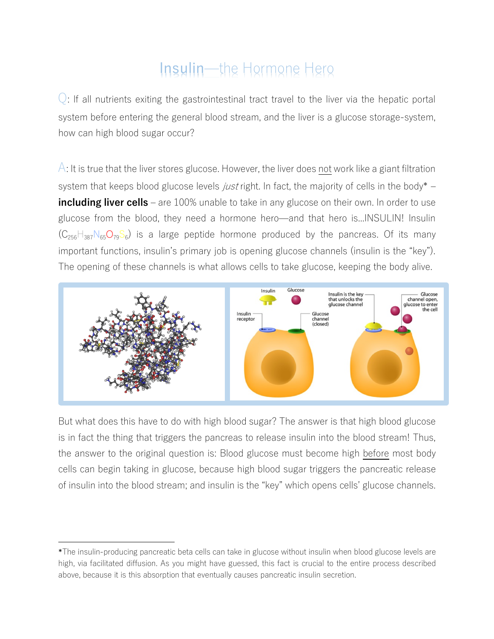## Insulin—the Hormone Hero

 $\bigcirc$ : If all nutrients exiting the gastrointestinal tract travel to the liver via the hepatic portal system before entering the general blood stream, and the liver is a glucose storage-system, how can high blood sugar occur?

 $\overline{A}$ : It is true that the liver stores glucose. However, the liver does not work like a giant filtration system that keeps blood glucose levels *just* right. In fact, the majority of cells in the body\* – **including liver cells** – are 100% unable to take in any glucose on their own. In order to use glucose from the blood, they need a hormone hero̶and that hero is...INSULIN! Insulin  $(C_{256}H_{387}N_{65}O_{79}S_6)$  is a large peptide hormone produced by the pancreas. Of its many important functions, insulin's primary job is opening glucose channels (insulin is the "key"). The opening of these channels is what allows cells to take glucose, keeping the body alive.



But what does this have to do with high blood sugar? The answer is that high blood glucose is in fact the thing that triggers the pancreas to release insulin into the blood stream! Thus, the answer to the original question is: Blood glucose must become high before most body cells can begin taking in glucose, because high blood sugar triggers the pancreatic release of insulin into the blood stream; and insulin is the "key" which opens cells' glucose channels.

<u>.</u>

<sup>\*</sup>The insulin-producing pancreatic beta cells can take in glucose without insulin when blood glucose levels are high, via facilitated diffusion. As you might have guessed, this fact is crucial to the entire process described above, because it is this absorption that eventually causes pancreatic insulin secretion.